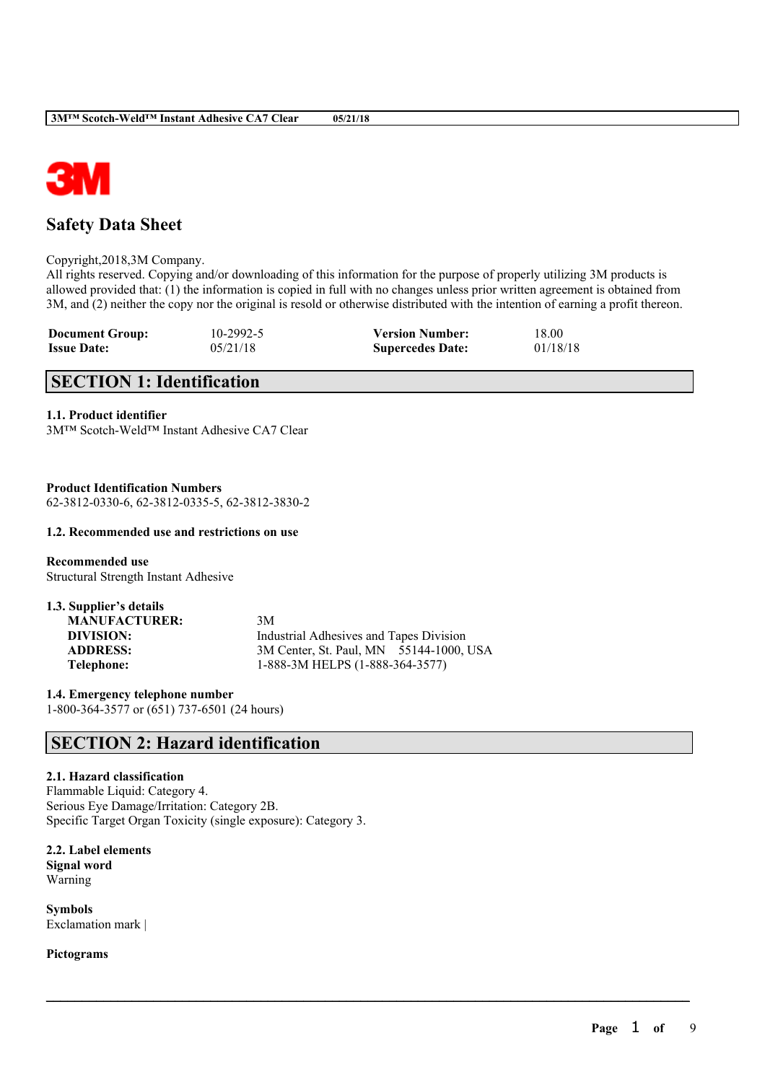

# **Safety Data Sheet**

### Copyright,2018,3M Company.

All rights reserved. Copying and/or downloading of this information for the purpose of properly utilizing 3M products is allowed provided that: (1) the information is copied in full with no changes unless prior written agreement is obtained from 3M, and (2) neither the copy nor the original is resold or otherwise distributed with the intention of earning a profit thereon.

 $\mathcal{L}_\mathcal{L} = \mathcal{L}_\mathcal{L} = \mathcal{L}_\mathcal{L} = \mathcal{L}_\mathcal{L} = \mathcal{L}_\mathcal{L} = \mathcal{L}_\mathcal{L} = \mathcal{L}_\mathcal{L} = \mathcal{L}_\mathcal{L} = \mathcal{L}_\mathcal{L} = \mathcal{L}_\mathcal{L} = \mathcal{L}_\mathcal{L} = \mathcal{L}_\mathcal{L} = \mathcal{L}_\mathcal{L} = \mathcal{L}_\mathcal{L} = \mathcal{L}_\mathcal{L} = \mathcal{L}_\mathcal{L} = \mathcal{L}_\mathcal{L}$ 

| <b>Document Group:</b> | $10 - 2992 - 5$ | <b>Version Number:</b>  | 18.00    |
|------------------------|-----------------|-------------------------|----------|
| <b>Issue Date:</b>     | 05/21/18        | <b>Supercedes Date:</b> | 01/18/18 |

# **SECTION 1: Identification**

## **1.1. Product identifier**

3M™ Scotch-Weld™ Instant Adhesive CA7 Clear

**Product Identification Numbers** 62-3812-0330-6, 62-3812-0335-5, 62-3812-3830-2

# **1.2. Recommended use and restrictions on use**

**Recommended use** Structural Strength Instant Adhesive

| 1.3. Supplier's details |                                         |
|-------------------------|-----------------------------------------|
| <b>MANUFACTURER:</b>    | 3M                                      |
| DIVISION:               | Industrial Adhesives and Tapes Division |
| <b>ADDRESS:</b>         | 3M Center, St. Paul, MN 55144-1000, USA |
| Telephone:              | 1-888-3M HELPS (1-888-364-3577)         |

**1.4. Emergency telephone number** 1-800-364-3577 or (651) 737-6501 (24 hours)

# **SECTION 2: Hazard identification**

# **2.1. Hazard classification**

Flammable Liquid: Category 4. Serious Eye Damage/Irritation: Category 2B. Specific Target Organ Toxicity (single exposure): Category 3.

**2.2. Label elements Signal word** Warning

**Symbols** Exclamation mark |

**Pictograms**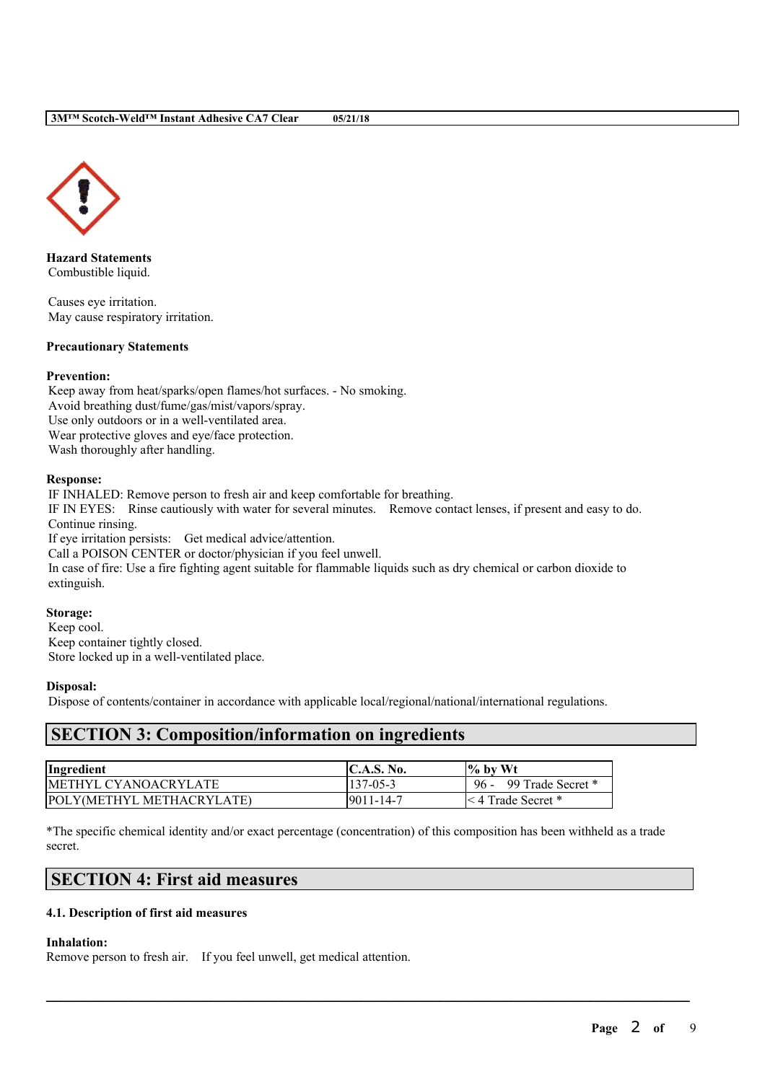

**Hazard Statements** Combustible liquid.

Causes eye irritation. May cause respiratory irritation.

## **Precautionary Statements**

## **Prevention:**

Keep away from heat/sparks/open flames/hot surfaces. - No smoking. Avoid breathing dust/fume/gas/mist/vapors/spray. Use only outdoors or in a well-ventilated area. Wear protective gloves and eye/face protection. Wash thoroughly after handling.

## **Response:**

IF INHALED: Remove person to fresh air and keep comfortable for breathing. IF IN EYES: Rinse cautiously with water for several minutes. Remove contact lenses, if present and easy to do. Continue rinsing. If eye irritation persists: Get medical advice/attention. Call a POISON CENTER or doctor/physician if you feel unwell.

In case of fire: Use a fire fighting agent suitable for flammable liquids such as dry chemical or carbon dioxide to extinguish.

# **Storage:**

Keep cool. Keep container tightly closed. Store locked up in a well-ventilated place.

## **Disposal:**

Dispose of contents/container in accordance with applicable local/regional/national/international regulations.

# **SECTION 3: Composition/information on ingredients**

| Ingredient                   | C.A.S. No.      | $\frac{1}{6}$ by Wt         |
|------------------------------|-----------------|-----------------------------|
| <b>IMETHYL CYANOACRYLATE</b> | $137 - 05 - 3$  | $96 -$<br>99 Trade Secret * |
| POLY(METHYL METHACRYLATE)    | $9011 - 14 - 7$ | l< 4 Trade Secret *         |

\*The specific chemical identity and/or exact percentage (concentration) of this composition has been withheld as a trade secret.

 $\mathcal{L}_\mathcal{L} = \mathcal{L}_\mathcal{L} = \mathcal{L}_\mathcal{L} = \mathcal{L}_\mathcal{L} = \mathcal{L}_\mathcal{L} = \mathcal{L}_\mathcal{L} = \mathcal{L}_\mathcal{L} = \mathcal{L}_\mathcal{L} = \mathcal{L}_\mathcal{L} = \mathcal{L}_\mathcal{L} = \mathcal{L}_\mathcal{L} = \mathcal{L}_\mathcal{L} = \mathcal{L}_\mathcal{L} = \mathcal{L}_\mathcal{L} = \mathcal{L}_\mathcal{L} = \mathcal{L}_\mathcal{L} = \mathcal{L}_\mathcal{L}$ 

# **SECTION 4: First aid measures**

## **4.1. Description of first aid measures**

## **Inhalation:**

Remove person to fresh air. If you feel unwell, get medical attention.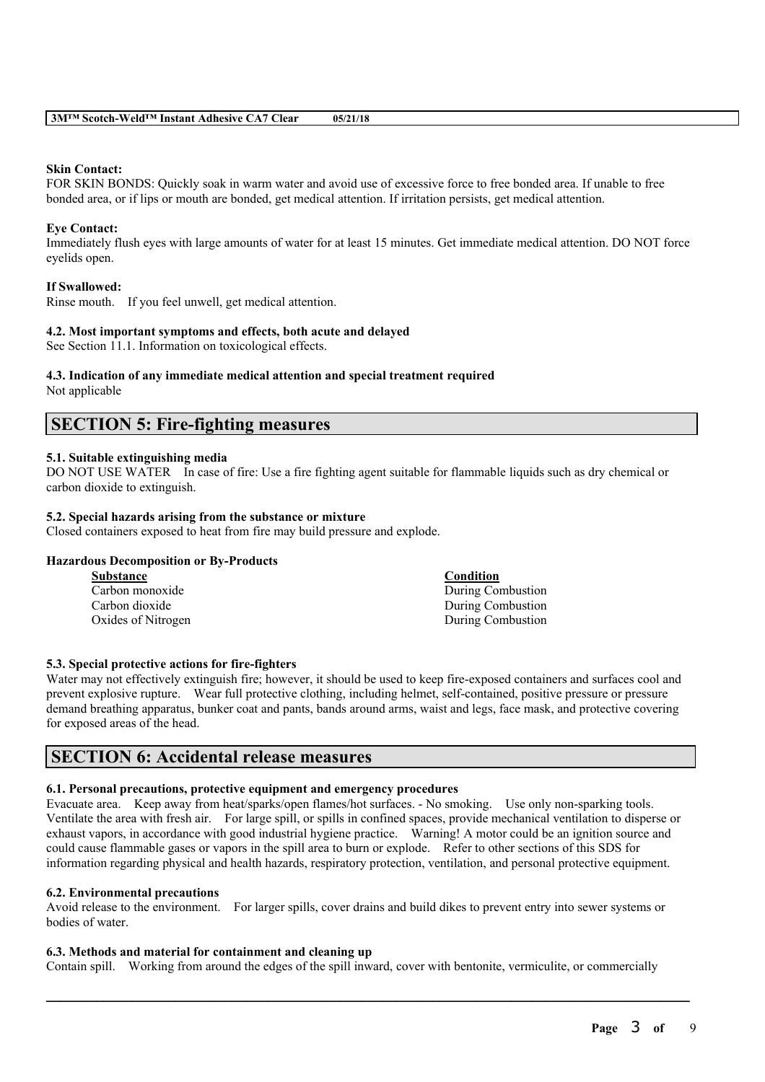#### **Skin Contact:**

FOR SKIN BONDS: Quickly soak in warm water and avoid use of excessive force to free bonded area. If unable to free bonded area, or if lips or mouth are bonded, get medical attention. If irritation persists, get medical attention.

#### **Eye Contact:**

Immediately flush eyes with large amounts of water for at least 15 minutes. Get immediate medical attention. DO NOT force eyelids open.

### **If Swallowed:**

Rinse mouth. If you feel unwell, get medical attention.

### **4.2. Most important symptoms and effects, both acute and delayed**

See Section 11.1. Information on toxicological effects.

### **4.3. Indication of any immediate medical attention and special treatment required**

Not applicable

# **SECTION 5: Fire-fighting measures**

## **5.1. Suitable extinguishing media**

DO NOT USE WATER In case of fire: Use a fire fighting agent suitable for flammable liquids such as dry chemical or carbon dioxide to extinguish.

### **5.2. Special hazards arising from the substance or mixture**

Closed containers exposed to heat from fire may build pressure and explode.

## **Hazardous Decomposition or By-Products**

| <b>Substance</b>   | Condition         |
|--------------------|-------------------|
| Carbon monoxide    | During Combustion |
| Carbon dioxide     | During Combustion |
| Oxides of Nitrogen | During Combustion |

#### **5.3. Special protective actions for fire-fighters**

Water may not effectively extinguish fire; however, it should be used to keep fire-exposed containers and surfaces cool and prevent explosive rupture. Wear full protective clothing, including helmet, self-contained, positive pressure or pressure demand breathing apparatus, bunker coat and pants, bands around arms, waist and legs, face mask, and protective covering for exposed areas of the head.

# **SECTION 6: Accidental release measures**

#### **6.1. Personal precautions, protective equipment and emergency procedures**

Evacuate area. Keep away from heat/sparks/open flames/hot surfaces. - No smoking. Use only non-sparking tools. Ventilate the area with fresh air. For large spill, or spills in confined spaces, provide mechanical ventilation to disperse or exhaust vapors, in accordance with good industrial hygiene practice. Warning! A motor could be an ignition source and could cause flammable gases or vapors in the spill area to burn or explode. Refer to other sections of this SDS for information regarding physical and health hazards, respiratory protection, ventilation, and personal protective equipment.

#### **6.2. Environmental precautions**

Avoid release to the environment. For larger spills, cover drains and build dikes to prevent entry into sewer systems or bodies of water.

#### **6.3. Methods and material for containment and cleaning up**

Contain spill. Working from around the edges of the spill inward, cover with bentonite, vermiculite, or commercially

 $\mathcal{L}_\mathcal{L} = \mathcal{L}_\mathcal{L} = \mathcal{L}_\mathcal{L} = \mathcal{L}_\mathcal{L} = \mathcal{L}_\mathcal{L} = \mathcal{L}_\mathcal{L} = \mathcal{L}_\mathcal{L} = \mathcal{L}_\mathcal{L} = \mathcal{L}_\mathcal{L} = \mathcal{L}_\mathcal{L} = \mathcal{L}_\mathcal{L} = \mathcal{L}_\mathcal{L} = \mathcal{L}_\mathcal{L} = \mathcal{L}_\mathcal{L} = \mathcal{L}_\mathcal{L} = \mathcal{L}_\mathcal{L} = \mathcal{L}_\mathcal{L}$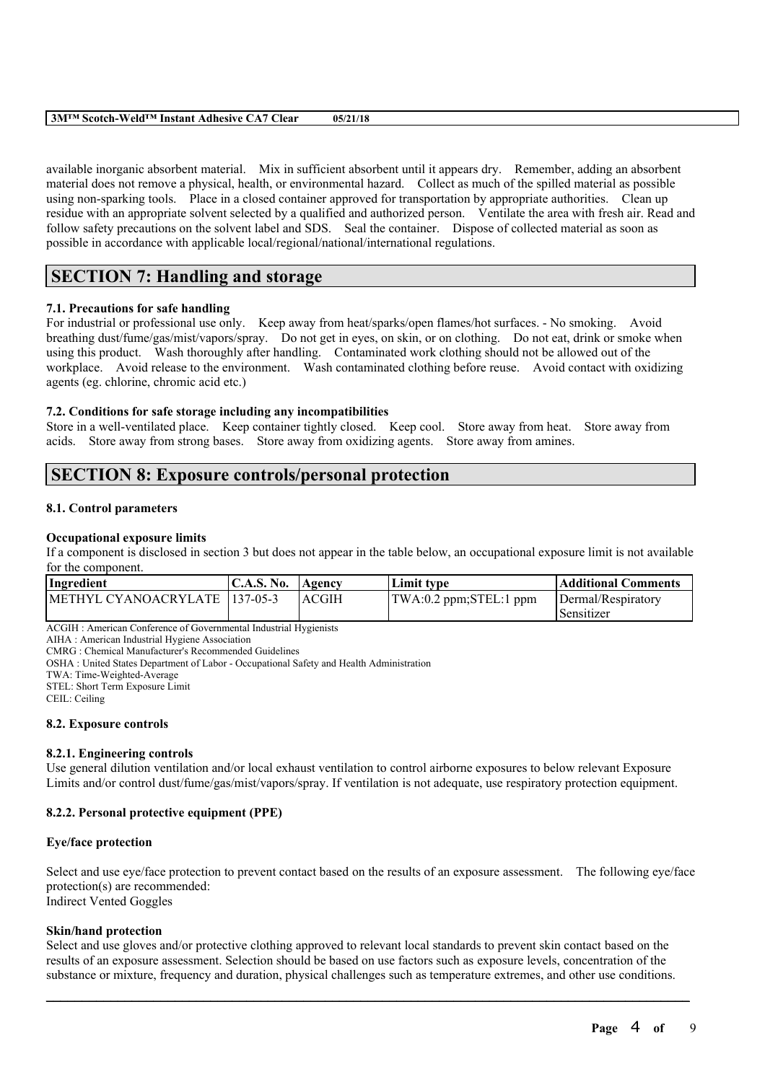| 3MTM Scotch-Weld™ Instant Adhesive CA7<br>' Clear | 05/21/18 |
|---------------------------------------------------|----------|
|                                                   |          |

available inorganic absorbent material. Mix in sufficient absorbent until it appears dry. Remember, adding an absorbent material does not remove a physical, health, or environmental hazard. Collect as much of the spilled material as possible using non-sparking tools. Place in a closed container approved for transportation by appropriate authorities. Clean up residue with an appropriate solvent selected by a qualified and authorized person. Ventilate the area with fresh air. Read and follow safety precautions on the solvent label and SDS. Seal the container. Dispose of collected material as soon as possible in accordance with applicable local/regional/national/international regulations.

# **SECTION 7: Handling and storage**

## **7.1. Precautions for safe handling**

For industrial or professional use only. Keep away from heat/sparks/open flames/hot surfaces. - No smoking. Avoid breathing dust/fume/gas/mist/vapors/spray. Do not get in eyes, on skin, or on clothing. Do not eat, drink or smoke when using this product. Wash thoroughly after handling. Contaminated work clothing should not be allowed out of the workplace. Avoid release to the environment. Wash contaminated clothing before reuse. Avoid contact with oxidizing agents (eg. chlorine, chromic acid etc.)

## **7.2. Conditions for safe storage including any incompatibilities**

Store in a well-ventilated place. Keep container tightly closed. Keep cool. Store away from heat. Store away from acids. Store away from strong bases. Store away from oxidizing agents. Store away from amines.

# **SECTION 8: Exposure controls/personal protection**

## **8.1. Control parameters**

### **Occupational exposure limits**

If a component is disclosed in section 3 but does not appear in the table below, an occupational exposure limit is not available for the component.

| Ingredient                     | C.A.S. No. Agency |       | Limit tvpe                                             | <b>Additional Comments</b> |
|--------------------------------|-------------------|-------|--------------------------------------------------------|----------------------------|
| METHYL CYANOACRYLATE 1137-05-3 |                   | ACGIH | $\text{TWA}:0.2 \text{ ppm};\text{STEL}:1 \text{ ppm}$ | Dermal/Respiratory         |
|                                |                   |       |                                                        | l Sensitizer               |

ACGIH : American Conference of Governmental Industrial Hygienists

AIHA : American Industrial Hygiene Association

CMRG : Chemical Manufacturer's Recommended Guidelines

OSHA : United States Department of Labor - Occupational Safety and Health Administration

TWA: Time-Weighted-Average

STEL: Short Term Exposure Limit

CEIL: Ceiling

## **8.2. Exposure controls**

## **8.2.1. Engineering controls**

Use general dilution ventilation and/or local exhaust ventilation to control airborne exposures to below relevant Exposure Limits and/or control dust/fume/gas/mist/vapors/spray. If ventilation is not adequate, use respiratory protection equipment.

## **8.2.2. Personal protective equipment (PPE)**

## **Eye/face protection**

Select and use eye/face protection to prevent contact based on the results of an exposure assessment. The following eye/face protection(s) are recommended:

Indirect Vented Goggles

## **Skin/hand protection**

Select and use gloves and/or protective clothing approved to relevant local standards to prevent skin contact based on the results of an exposure assessment. Selection should be based on use factors such as exposure levels, concentration of the substance or mixture, frequency and duration, physical challenges such as temperature extremes, and other use conditions.

 $\mathcal{L}_\mathcal{L} = \mathcal{L}_\mathcal{L} = \mathcal{L}_\mathcal{L} = \mathcal{L}_\mathcal{L} = \mathcal{L}_\mathcal{L} = \mathcal{L}_\mathcal{L} = \mathcal{L}_\mathcal{L} = \mathcal{L}_\mathcal{L} = \mathcal{L}_\mathcal{L} = \mathcal{L}_\mathcal{L} = \mathcal{L}_\mathcal{L} = \mathcal{L}_\mathcal{L} = \mathcal{L}_\mathcal{L} = \mathcal{L}_\mathcal{L} = \mathcal{L}_\mathcal{L} = \mathcal{L}_\mathcal{L} = \mathcal{L}_\mathcal{L}$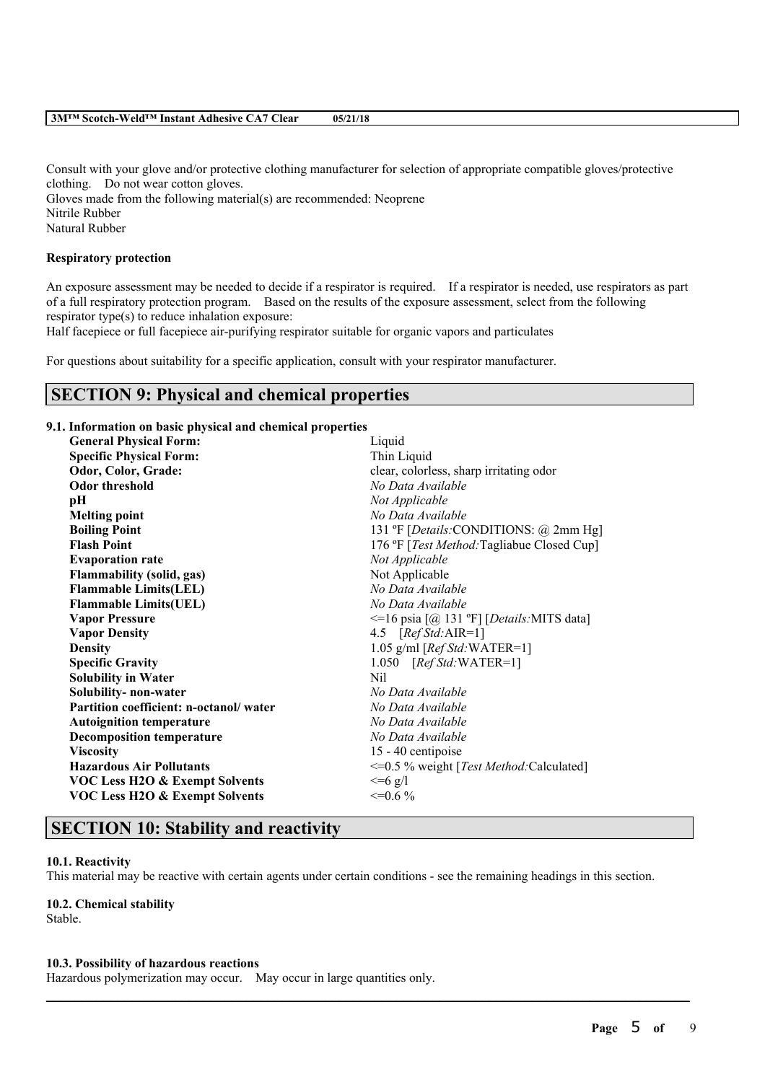#### **3M™ Scotch-Weld™ Instant Adhesive CA7 Clear 05/21/18**

Consult with your glove and/or protective clothing manufacturer for selection of appropriate compatible gloves/protective clothing. Do not wear cotton gloves.

Gloves made from the following material(s) are recommended: Neoprene Nitrile Rubber Natural Rubber

#### **Respiratory protection**

An exposure assessment may be needed to decide if a respirator is required. If a respirator is needed, use respirators as part of a full respiratory protection program. Based on the results of the exposure assessment, select from the following respirator type(s) to reduce inhalation exposure:

Half facepiece or full facepiece air-purifying respirator suitable for organic vapors and particulates

For questions about suitability for a specific application, consult with your respirator manufacturer.

# **SECTION 9: Physical and chemical properties**

#### **9.1. Information on basic physical and chemical properties**

| <b>General Physical Form:</b>             | Liquid                                         |  |
|-------------------------------------------|------------------------------------------------|--|
| <b>Specific Physical Form:</b>            | Thin Liquid                                    |  |
| Odor, Color, Grade:                       | clear, colorless, sharp irritating odor        |  |
| <b>Odor threshold</b>                     | No Data Available                              |  |
| pН                                        | Not Applicable                                 |  |
| <b>Melting point</b>                      | No Data Available                              |  |
| <b>Boiling Point</b>                      | 131 °F [ <i>Details:</i> CONDITIONS: @ 2mm Hg] |  |
| <b>Flash Point</b>                        | 176 °F [Test Method: Tagliabue Closed Cup]     |  |
| <b>Evaporation rate</b>                   | Not Applicable                                 |  |
| <b>Flammability (solid, gas)</b>          | Not Applicable                                 |  |
| <b>Flammable Limits(LEL)</b>              | No Data Available                              |  |
| <b>Flammable Limits(UEL)</b>              | No Data Available                              |  |
| <b>Vapor Pressure</b>                     | $\le$ =16 psia [@ 131 °F] [Details:MITS data]  |  |
| <b>Vapor Density</b>                      | 4.5 $[RefStd:AIR=1]$                           |  |
| <b>Density</b>                            | 1.05 g/ml [ $RefStd$ : WATER=1]                |  |
| <b>Specific Gravity</b>                   | 1.050 [Ref Std:WATER=1]                        |  |
| <b>Solubility in Water</b>                | N <sub>il</sub>                                |  |
| Solubility- non-water                     | No Data Available                              |  |
| Partition coefficient: n-octanol/water    | No Data Available                              |  |
| <b>Autoignition temperature</b>           | No Data Available                              |  |
| <b>Decomposition temperature</b>          | No Data Available                              |  |
| <b>Viscosity</b>                          | 15 - 40 centipoise                             |  |
| <b>Hazardous Air Pollutants</b>           | <= 0.5 % weight [Test Method: Calculated]      |  |
| <b>VOC Less H2O &amp; Exempt Solvents</b> | $\leq -6$ g/l                                  |  |
| <b>VOC Less H2O &amp; Exempt Solvents</b> | $\leq=0.6\%$                                   |  |

# **SECTION 10: Stability and reactivity**

#### **10.1. Reactivity**

This material may be reactive with certain agents under certain conditions - see the remaining headings in this section.

 $\mathcal{L}_\mathcal{L} = \mathcal{L}_\mathcal{L} = \mathcal{L}_\mathcal{L} = \mathcal{L}_\mathcal{L} = \mathcal{L}_\mathcal{L} = \mathcal{L}_\mathcal{L} = \mathcal{L}_\mathcal{L} = \mathcal{L}_\mathcal{L} = \mathcal{L}_\mathcal{L} = \mathcal{L}_\mathcal{L} = \mathcal{L}_\mathcal{L} = \mathcal{L}_\mathcal{L} = \mathcal{L}_\mathcal{L} = \mathcal{L}_\mathcal{L} = \mathcal{L}_\mathcal{L} = \mathcal{L}_\mathcal{L} = \mathcal{L}_\mathcal{L}$ 

#### **10.2. Chemical stability**

Stable.

#### **10.3. Possibility of hazardous reactions**

Hazardous polymerization may occur. May occur in large quantities only.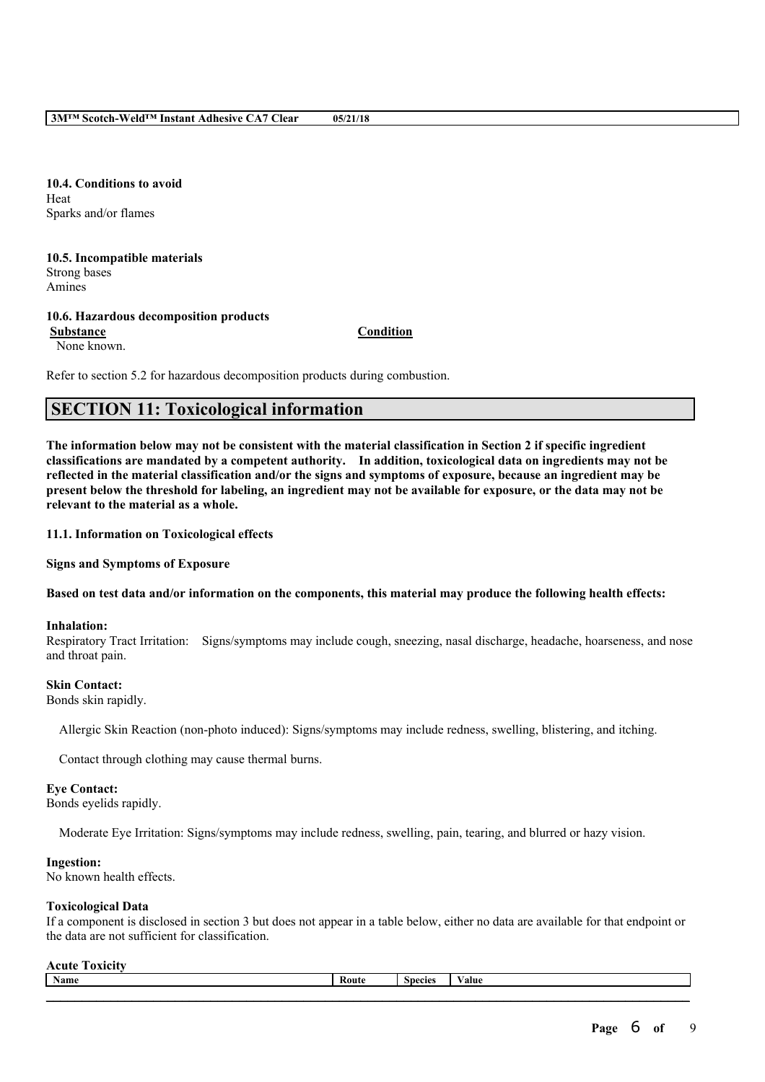**3M™ Scotch-Weld™ Instant Adhesive CA7 Clear 05/21/18**

**10.4. Conditions to avoid** Heat Sparks and/or flames

**10.5. Incompatible materials** Strong bases Amines

# **10.6. Hazardous decomposition products**

**Substance Condition** None known.

Refer to section 5.2 for hazardous decomposition products during combustion.

# **SECTION 11: Toxicological information**

The information below may not be consistent with the material classification in Section 2 if specific ingredient **classifications are mandated by a competent authority. In addition, toxicological data on ingredients may not be** reflected in the material classification and/or the signs and symptoms of exposure, because an ingredient may be present below the threshold for labeling, an ingredient may not be available for exposure, or the data may not be **relevant to the material as a whole.**

**11.1. Information on Toxicological effects**

**Signs and Symptoms of Exposure**

Based on test data and/or information on the components, this material may produce the following health effects:

## **Inhalation:**

Respiratory Tract Irritation: Signs/symptoms may include cough, sneezing, nasal discharge, headache, hoarseness, and nose and throat pain.

## **Skin Contact:**

Bonds skin rapidly.

Allergic Skin Reaction (non-photo induced): Signs/symptoms may include redness, swelling, blistering, and itching.

Contact through clothing may cause thermal burns.

## **Eye Contact:**

Bonds eyelids rapidly.

Moderate Eye Irritation: Signs/symptoms may include redness, swelling, pain, tearing, and blurred or hazy vision.

# **Ingestion:**

No known health effects.

# **Toxicological Data**

If a component is disclosed in section 3 but does not appear in a table below, either no data are available for that endpoint or the data are not sufficient for classification.

#### **Acute Toxicity**

| <b>Name</b> | ⊀oute | <b>Species</b> | 'alue |
|-------------|-------|----------------|-------|
|             |       |                |       |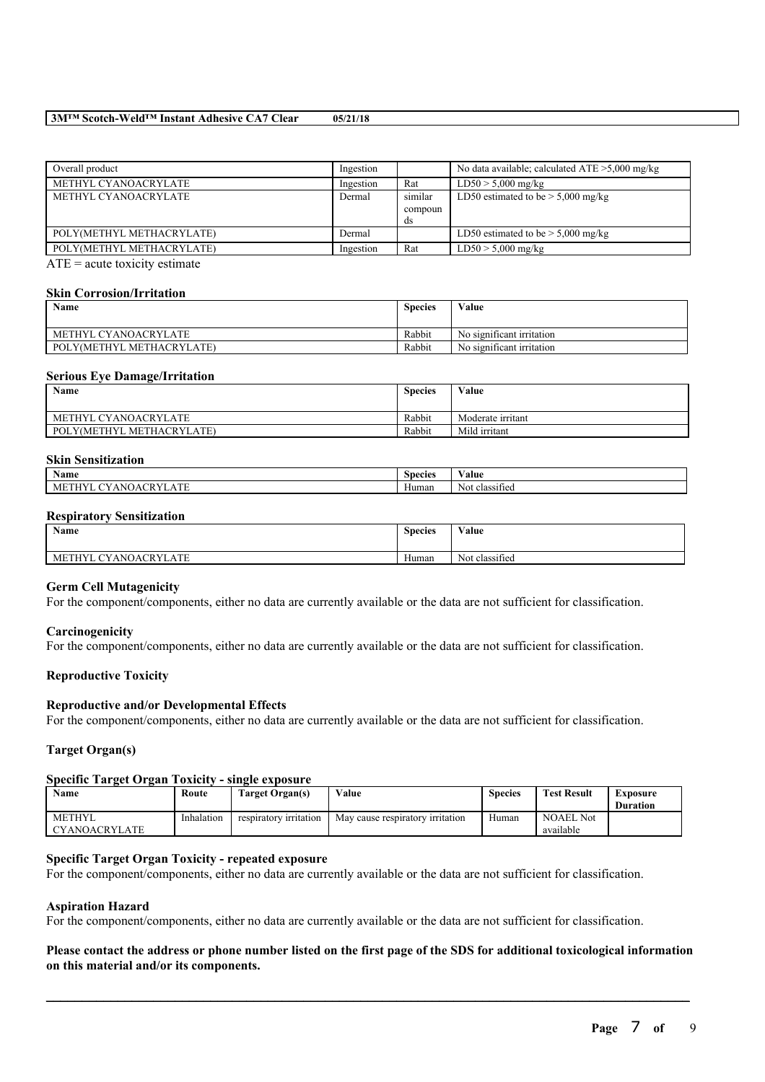#### **3M™ Scotch-Weld™ Instant Adhesive CA7 Clear 05/21/18**

| Overall product           | Ingestion |                          | No data available; calculated $ATE > 5,000$ mg/kg |
|---------------------------|-----------|--------------------------|---------------------------------------------------|
| METHYL CYANOACRYLATE      | Ingestion | Rat                      | $LD50 > 5,000$ mg/kg                              |
| METHYL CYANOACRYLATE      | Dermal    | similar<br>compoun<br>ds | LD50 estimated to be $> 5,000$ mg/kg              |
| POLY(METHYL METHACRYLATE) | Dermal    |                          | LD50 estimated to be $> 5,000$ mg/kg              |
| POLY(METHYL METHACRYLATE) | Ingestion | Rat                      | $LD50 > 5,000$ mg/kg                              |

 $ATE = acute$  toxicity estimate

#### **Skin Corrosion/Irritation**

| <b>Name</b>                           | <b>Species</b> | Value                     |
|---------------------------------------|----------------|---------------------------|
| METHYL CYANOACRYLATE                  | Rabbit         | No significant irritation |
| LY(METHYL METHACRYLATE)<br><b>POL</b> | Rabbit         | No significant irritation |

#### **Serious Eye Damage/Irritation**

| Name                      | <b>Species</b> | Value             |
|---------------------------|----------------|-------------------|
| METHYL CYANOACRYLATE      | Rabbit         | Moderate irritant |
| POLY(METHYL METHACRYLATE) | Rabbit         | Mild irritant     |

#### **Skin Sensitization**

| <b>.</b><br>Name                                                                                                                        | <b>Species</b> | 'alue                   |
|-----------------------------------------------------------------------------------------------------------------------------------------|----------------|-------------------------|
| <b>CONTRACT</b><br>$\alpha$<br><b>Contract Contract</b><br>ANI<br>ML<br>. .<br>$\Delta$<br>≖<br>.<br>,,,<br>71 L<br>$\mathbf{v}$<br>. . | Human          | ۰.<br>classified<br>Not |

#### **Respiratory Sensitization**

| Name                                                           | $\sim$<br><b>Species</b> | $\mathbf{v}$ $\mathbf{v}$<br>∨alue |
|----------------------------------------------------------------|--------------------------|------------------------------------|
| $X$ ANOACR $Y$ <sup>T</sup><br>LATE<br><b>ETHYL</b><br>МE<br>◡ | Human                    | Not classified                     |

#### **Germ Cell Mutagenicity**

For the component/components, either no data are currently available or the data are not sufficient for classification.

#### **Carcinogenicity**

For the component/components, either no data are currently available or the data are not sufficient for classification.

#### **Reproductive Toxicity**

#### **Reproductive and/or Developmental Effects**

For the component/components, either no data are currently available or the data are not sufficient for classification.

## **Target Organ(s)**

#### **Specific Target Organ Toxicity - single exposure**

| Name                 | Route      | Target Organ(s)        | Value                            | <b>Species</b> | <b>Test Result</b> | Exposure<br><b>Duration</b> |
|----------------------|------------|------------------------|----------------------------------|----------------|--------------------|-----------------------------|
|                      |            |                        |                                  |                |                    |                             |
| <b>METHYL</b>        | Inhalation | respiratory irritation | May cause respiratory irritation | Human          | <b>NOAEL Not</b>   |                             |
| <b>CYANOACRYLATE</b> |            |                        |                                  |                | available          |                             |

## **Specific Target Organ Toxicity - repeated exposure**

For the component/components, either no data are currently available or the data are not sufficient for classification.

### **Aspiration Hazard**

For the component/components, either no data are currently available or the data are not sufficient for classification.

## Please contact the address or phone number listed on the first page of the SDS for additional toxicological information **on this material and/or its components.**

 $\mathcal{L}_\mathcal{L} = \mathcal{L}_\mathcal{L} = \mathcal{L}_\mathcal{L} = \mathcal{L}_\mathcal{L} = \mathcal{L}_\mathcal{L} = \mathcal{L}_\mathcal{L} = \mathcal{L}_\mathcal{L} = \mathcal{L}_\mathcal{L} = \mathcal{L}_\mathcal{L} = \mathcal{L}_\mathcal{L} = \mathcal{L}_\mathcal{L} = \mathcal{L}_\mathcal{L} = \mathcal{L}_\mathcal{L} = \mathcal{L}_\mathcal{L} = \mathcal{L}_\mathcal{L} = \mathcal{L}_\mathcal{L} = \mathcal{L}_\mathcal{L}$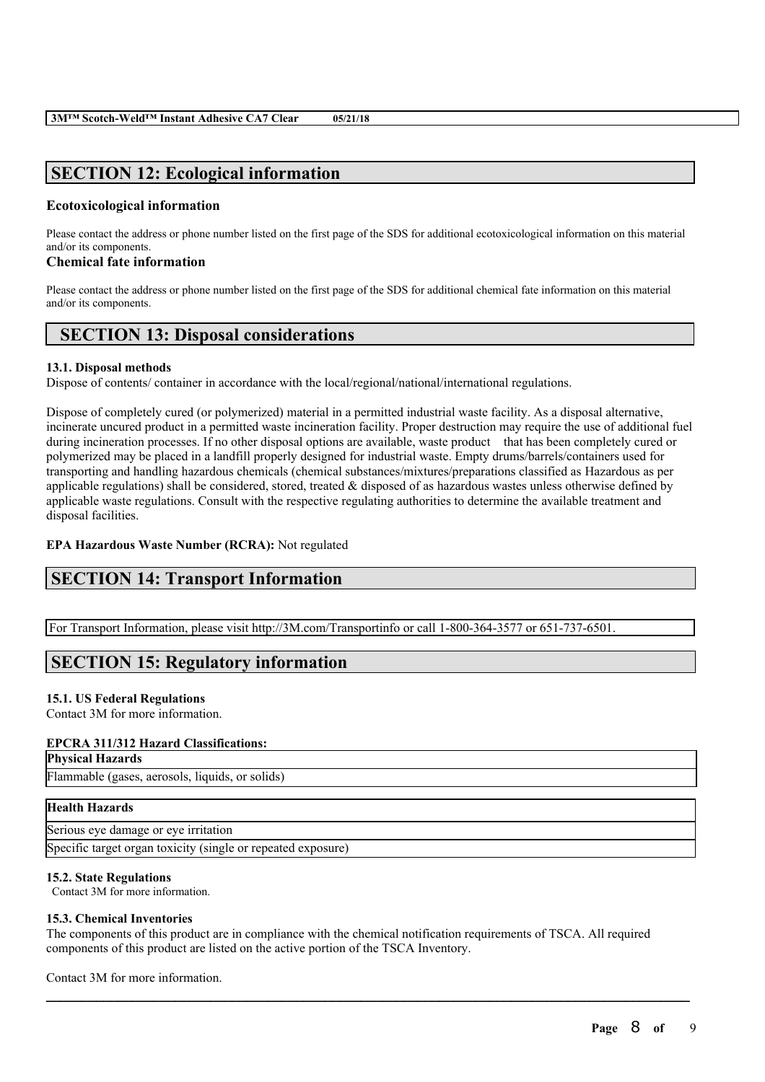# **SECTION 12: Ecological information**

# **Ecotoxicological information**

Please contact the address or phone number listed on the first page of the SDS for additional ecotoxicological information on this material and/or its components.

# **Chemical fate information**

Please contact the address or phone number listed on the first page of the SDS for additional chemical fate information on this material and/or its components.

# **SECTION 13: Disposal considerations**

# **13.1. Disposal methods**

Dispose of contents/ container in accordance with the local/regional/national/international regulations.

Dispose of completely cured (or polymerized) material in a permitted industrial waste facility. As a disposal alternative, incinerate uncured product in a permitted waste incineration facility. Proper destruction may require the use of additional fuel during incineration processes. If no other disposal options are available, waste product that has been completely cured or polymerized may be placed in a landfill properly designed for industrial waste. Empty drums/barrels/containers used for transporting and handling hazardous chemicals (chemical substances/mixtures/preparations classified as Hazardous as per applicable regulations) shall be considered, stored, treated  $\&$  disposed of as hazardous wastes unless otherwise defined by applicable waste regulations. Consult with the respective regulating authorities to determine the available treatment and disposal facilities.

# **EPA Hazardous Waste Number (RCRA):** Not regulated

# **SECTION 14: Transport Information**

For Transport Information, please visit http://3M.com/Transportinfo or call 1-800-364-3577 or 651-737-6501.

# **SECTION 15: Regulatory information**

# **15.1. US Federal Regulations**

Contact 3M for more information.

# **EPCRA 311/312 Hazard Classifications:**

**Physical Hazards**

Flammable (gases, aerosols, liquids, or solids)

# **Health Hazards**

Serious eye damage or eye irritation Specific target organ toxicity (single or repeated exposure)

# **15.2. State Regulations**

Contact 3M for more information.

# **15.3. Chemical Inventories**

The components of this product are in compliance with the chemical notification requirements of TSCA. All required components of this product are listed on the active portion of the TSCA Inventory.

 $\mathcal{L}_\mathcal{L} = \mathcal{L}_\mathcal{L} = \mathcal{L}_\mathcal{L} = \mathcal{L}_\mathcal{L} = \mathcal{L}_\mathcal{L} = \mathcal{L}_\mathcal{L} = \mathcal{L}_\mathcal{L} = \mathcal{L}_\mathcal{L} = \mathcal{L}_\mathcal{L} = \mathcal{L}_\mathcal{L} = \mathcal{L}_\mathcal{L} = \mathcal{L}_\mathcal{L} = \mathcal{L}_\mathcal{L} = \mathcal{L}_\mathcal{L} = \mathcal{L}_\mathcal{L} = \mathcal{L}_\mathcal{L} = \mathcal{L}_\mathcal{L}$ 

Contact 3M for more information.